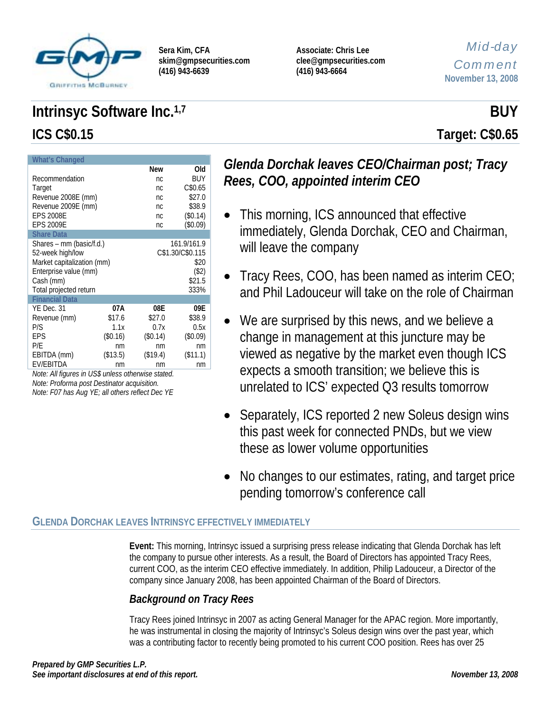

**Associate: Chris Lee clee@gmpsecurities.com (416) 943-6664** 

## *Mid-day Comment* **November 13, 2008**

# **Intrinsyc Software Inc.**<sup>1,7</sup> BUY **ICS C\$0.15 Target: C\$0.65**

| <b>What's Changed</b>      |          |                |                  |  |
|----------------------------|----------|----------------|------------------|--|
|                            |          | <b>New</b>     | Old              |  |
| Recommendation             |          | nc             | BUY              |  |
| Target                     |          | n <sub>C</sub> | C\$0.65          |  |
| Revenue 2008E (mm)         |          | nc             | \$27.0           |  |
| Revenue 2009E (mm)         |          | nc             | \$38.9           |  |
| <b>EPS 2008E</b>           |          | nc.            | (\$0.14)         |  |
| <b>EPS 2009E</b>           |          | nc.            | (\$0.09)         |  |
| <b>Share Data</b>          |          |                |                  |  |
| Shares – mm (basic/f.d.)   |          |                | 161.9/161.9      |  |
| 52-week high/low           |          |                | C\$1.30/C\$0.115 |  |
| Market capitalization (mm) |          |                | \$20             |  |
| Enterprise value (mm)      |          |                | $(\$2)$          |  |
| Cash (mm)                  |          |                | \$21.5           |  |
| Total projected return     |          |                | 333%             |  |
| <b>Financial Data</b>      |          |                |                  |  |
| YE Dec. 31                 | 07A      | 08E            | 09E              |  |
| Revenue (mm)               | \$17.6   | \$27.0         | \$38.9           |  |
| P/S                        | 1.1x     | 0.7x           | 0.5x             |  |
| EPS                        | (\$0.16) | (\$0.14)       | (\$0.09)         |  |
| P/E                        | nm       | nm             | nm               |  |
| EBITDA (mm)                | (\$13.5) | (\$19.4)       | (\$11.1)         |  |
| EV/EBITDA                  | nm       | nm             | nm               |  |

*Note: All figures in US\$ unless otherwise stated. Note: Proforma post Destinator acquisition. Note: F07 has Aug YE; all others reflect Dec YE* 

# *Glenda Dorchak leaves CEO/Chairman post; Tracy Rees, COO, appointed interim CEO*

- This morning, ICS announced that effective immediately, Glenda Dorchak, CEO and Chairman, will leave the company
- Tracy Rees, COO, has been named as interim CEO; and Phil Ladouceur will take on the role of Chairman
- We are surprised by this news, and we believe a change in management at this juncture may be viewed as negative by the market even though ICS expects a smooth transition; we believe this is unrelated to ICS' expected Q3 results tomorrow
- Separately, ICS reported 2 new Soleus design wins this past week for connected PNDs, but we view these as lower volume opportunities
- No changes to our estimates, rating, and target price pending tomorrow's conference call

#### **GLENDA DORCHAK LEAVES INTRINSYC EFFECTIVELY IMMEDIATELY**

**Event:** This morning, Intrinsyc issued a surprising press release indicating that Glenda Dorchak has left the company to pursue other interests. As a result, the Board of Directors has appointed Tracy Rees, current COO, as the interim CEO effective immediately. In addition, Philip Ladouceur, a Director of the company since January 2008, has been appointed Chairman of the Board of Directors.

# *Background on Tracy Rees*

Tracy Rees joined Intrinsyc in 2007 as acting General Manager for the APAC region. More importantly, he was instrumental in closing the majority of Intrinsyc's Soleus design wins over the past year, which was a contributing factor to recently being promoted to his current COO position. Rees has over 25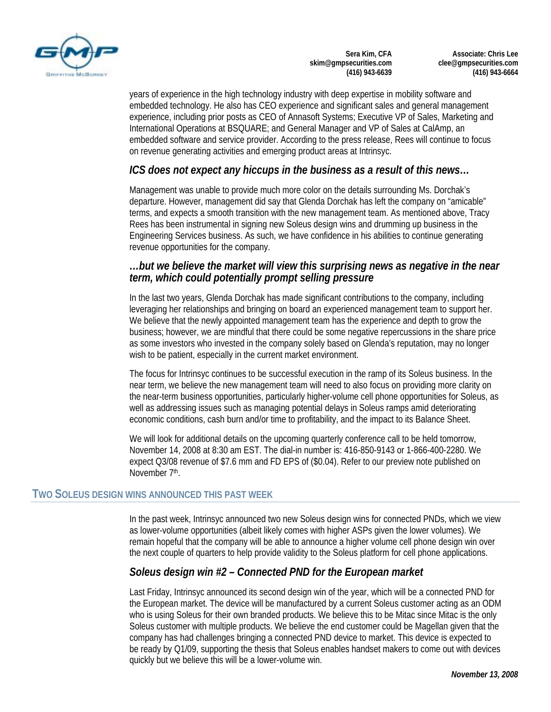

**Associate: Chris Lee clee@gmpsecurities.com (416) 943-6664** 

years of experience in the high technology industry with deep expertise in mobility software and embedded technology. He also has CEO experience and significant sales and general management experience, including prior posts as CEO of Annasoft Systems; Executive VP of Sales, Marketing and International Operations at BSQUARE; and General Manager and VP of Sales at CalAmp, an embedded software and service provider. According to the press release, Rees will continue to focus on revenue generating activities and emerging product areas at Intrinsyc.

#### *ICS does not expect any hiccups in the business as a result of this news…*

Management was unable to provide much more color on the details surrounding Ms. Dorchak's departure. However, management did say that Glenda Dorchak has left the company on "amicable" terms, and expects a smooth transition with the new management team. As mentioned above, Tracy Rees has been instrumental in signing new Soleus design wins and drumming up business in the Engineering Services business. As such, we have confidence in his abilities to continue generating revenue opportunities for the company.

#### *…but we believe the market will view this surprising news as negative in the near term, which could potentially prompt selling pressure*

In the last two years, Glenda Dorchak has made significant contributions to the company, including leveraging her relationships and bringing on board an experienced management team to support her. We believe that the newly appointed management team has the experience and depth to grow the business; however, we are mindful that there could be some negative repercussions in the share price as some investors who invested in the company solely based on Glenda's reputation, may no longer wish to be patient, especially in the current market environment.

The focus for Intrinsyc continues to be successful execution in the ramp of its Soleus business. In the near term, we believe the new management team will need to also focus on providing more clarity on the near-term business opportunities, particularly higher-volume cell phone opportunities for Soleus, as well as addressing issues such as managing potential delays in Soleus ramps amid deteriorating economic conditions, cash burn and/or time to profitability, and the impact to its Balance Sheet.

We will look for additional details on the upcoming quarterly conference call to be held tomorrow, November 14, 2008 at 8:30 am EST. The dial-in number is: 416-850-9143 or 1-866-400-2280. We expect Q3/08 revenue of \$7.6 mm and FD EPS of (\$0.04). Refer to our preview note published on November 7th.

#### **TWO SOLEUS DESIGN WINS ANNOUNCED THIS PAST WEEK**

In the past week, Intrinsyc announced two new Soleus design wins for connected PNDs, which we view as lower-volume opportunities (albeit likely comes with higher ASPs given the lower volumes). We remain hopeful that the company will be able to announce a higher volume cell phone design win over the next couple of quarters to help provide validity to the Soleus platform for cell phone applications.

#### *Soleus design win #2 – Connected PND for the European market*

Last Friday, Intrinsyc announced its second design win of the year, which will be a connected PND for the European market. The device will be manufactured by a current Soleus customer acting as an ODM who is using Soleus for their own branded products. We believe this to be Mitac since Mitac is the only Soleus customer with multiple products. We believe the end customer could be Magellan given that the company has had challenges bringing a connected PND device to market. This device is expected to be ready by Q1/09, supporting the thesis that Soleus enables handset makers to come out with devices quickly but we believe this will be a lower-volume win.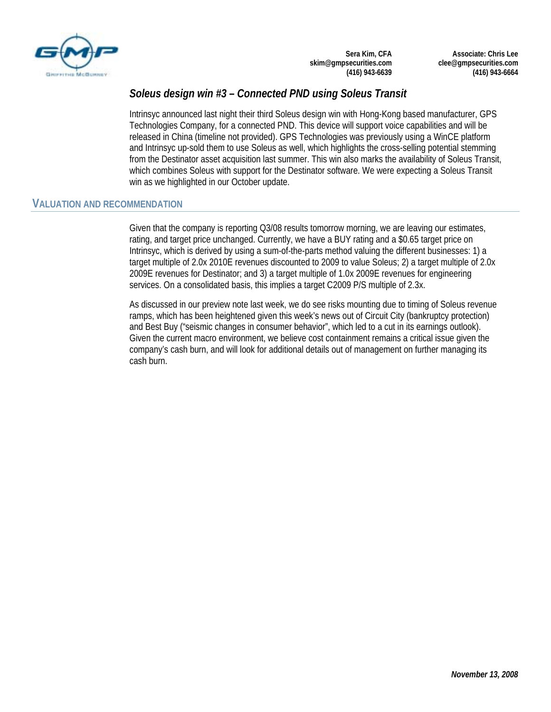

**Associate: Chris Lee clee@gmpsecurities.com (416) 943-6664** 

### *Soleus design win #3 – Connected PND using Soleus Transit*

Intrinsyc announced last night their third Soleus design win with Hong-Kong based manufacturer, GPS Technologies Company, for a connected PND. This device will support voice capabilities and will be released in China (timeline not provided). GPS Technologies was previously using a WinCE platform and Intrinsyc up-sold them to use Soleus as well, which highlights the cross-selling potential stemming from the Destinator asset acquisition last summer. This win also marks the availability of Soleus Transit, which combines Soleus with support for the Destinator software. We were expecting a Soleus Transit win as we highlighted in our October update.

#### **VALUATION AND RECOMMENDATION**

Given that the company is reporting Q3/08 results tomorrow morning, we are leaving our estimates, rating, and target price unchanged. Currently, we have a BUY rating and a \$0.65 target price on Intrinsyc, which is derived by using a sum-of-the-parts method valuing the different businesses: 1) a target multiple of 2.0x 2010E revenues discounted to 2009 to value Soleus; 2) a target multiple of 2.0x 2009E revenues for Destinator; and 3) a target multiple of 1.0x 2009E revenues for engineering services. On a consolidated basis, this implies a target C2009 P/S multiple of 2.3x.

As discussed in our preview note last week, we do see risks mounting due to timing of Soleus revenue ramps, which has been heightened given this week's news out of Circuit City (bankruptcy protection) and Best Buy ("seismic changes in consumer behavior", which led to a cut in its earnings outlook). Given the current macro environment, we believe cost containment remains a critical issue given the company's cash burn, and will look for additional details out of management on further managing its cash burn.